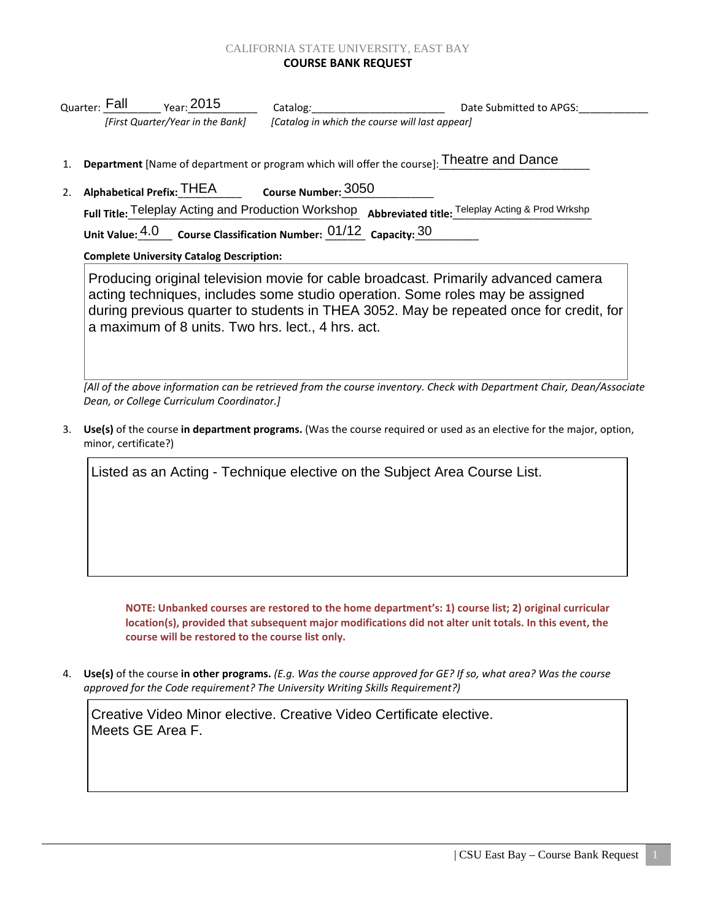## CALIFORNIA STATE UNIVERSITY, EAST BAY **COURSE BANK REQUEST**

|                                                                                           | <sub>Quarter:</sub> Fall         | $_{\rm Year:}$ 2015 | Catalog:                                       | Date Submitted to APGS: |
|-------------------------------------------------------------------------------------------|----------------------------------|---------------------|------------------------------------------------|-------------------------|
|                                                                                           | [First Quarter/Year in the Bank] |                     | [Catalog in which the course will last appear] |                         |
|                                                                                           |                                  |                     |                                                |                         |
| Department [Name of department or program which will offer the course]: Theatre and Dance |                                  |                     |                                                |                         |

2. **Alphabetical Prefix: THEA** Full Title: Teleplay Acting and Production Workshop Abbreviated title: Teleplay Acting & Prod Wrkshp Unit Value:  $4.0$  Course Classification Number:  $01/12$  Capacity:  $30$ Course Number: 3050

## **Complete University Catalog Description:**

Producing original television movie for cable broadcast. Primarily advanced camera acting techniques, includes some studio operation. Some roles may be assigned during previous quarter to students in THEA 3052. May be repeated once for credit, for a maximum of 8 units. Two hrs. lect., 4 hrs. act.

*[All of the above information can be retrieved from the course inventory. Check with Department Chair, Dean/Associate Dean, or College Curriculum Coordinator.]*

3. **Use(s)** of the course **in department programs.** (Was the course required or used as an elective for the major, option, minor, certificate?)

Listed as an Acting - Technique elective on the Subject Area Course List.

**NOTE: Unbanked courses are restored to the home department's: 1) course list; 2) original curricular location(s), provided that subsequent major modifications did not alter unit totals. In this event, the course will be restored to the course list only.**

4. **Use(s)** of the course **in other programs.** *(E.g. Was the course approved for GE? If so, what area? Was the course approved for the Code requirement? The University Writing Skills Requirement?)* 

Creative Video Minor elective. Creative Video Certificate elective. Meets GE Area F.